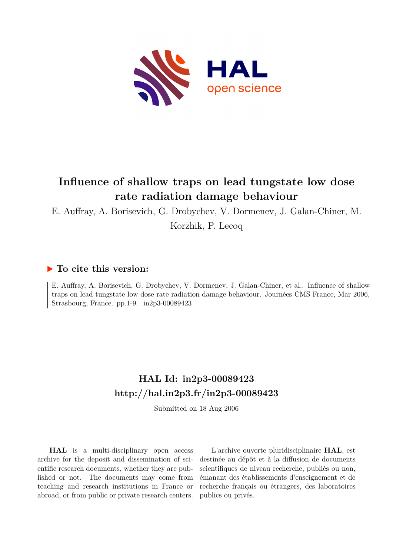

# **Influence of shallow traps on lead tungstate low dose rate radiation damage behaviour**

E. Auffray, A. Borisevich, G. Drobychev, V. Dormenev, J. Galan-Chiner, M.

Korzhik, P. Lecoq

### **To cite this version:**

E. Auffray, A. Borisevich, G. Drobychev, V. Dormenev, J. Galan-Chiner, et al.. Influence of shallow traps on lead tungstate low dose rate radiation damage behaviour. Journées CMS France, Mar 2006, Strasbourg, France. pp.1-9. in2p3-00089423

# **HAL Id: in2p3-00089423 <http://hal.in2p3.fr/in2p3-00089423>**

Submitted on 18 Aug 2006

**HAL** is a multi-disciplinary open access archive for the deposit and dissemination of scientific research documents, whether they are published or not. The documents may come from teaching and research institutions in France or abroad, or from public or private research centers.

L'archive ouverte pluridisciplinaire **HAL**, est destinée au dépôt et à la diffusion de documents scientifiques de niveau recherche, publiés ou non, émanant des établissements d'enseignement et de recherche français ou étrangers, des laboratoires publics ou privés.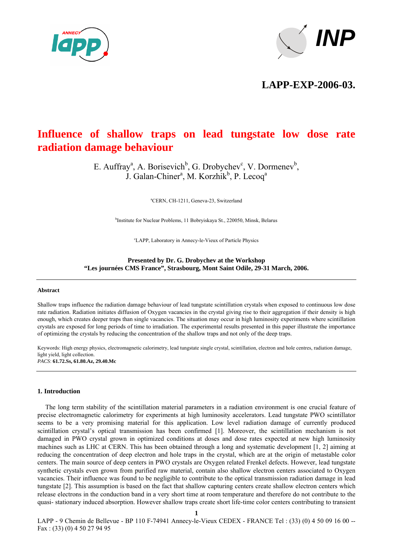



**LAPP-EXP-2006-03.**

## **Influence of shallow traps on lead tungstate low dose rate radiation damage behaviour**

E. Auffray<sup>a</sup>, A. Borisevich<sup>b</sup>, G. Drobychev<sup>c</sup>, V. Dormenev<sup>b</sup>, J. Galan-Chiner<sup>a</sup>, M. Korzhik<sup>b</sup>, P. Lecoq<sup>a</sup>

a CERN, CH-1211, Geneva-23, Switzerland

b Institute for Nuclear Problems, 11 Bobryiskaya St., 220050, Minsk, Belarus

c LAPP, Laboratory in Annecy-le-Vieux of Particle Physics

**Presented by Dr. G. Drobychev at the Workshop "Les journées CMS France", Strasbourg, Mont Saint Odile, 29-31 March, 2006.** 

#### **Abstract**

Shallow traps influence the radiation damage behaviour of lead tungstate scintillation crystals when exposed to continuous low dose rate radiation. Radiation initiates diffusion of Oxygen vacancies in the crystal giving rise to their aggregation if their density is high enough, which creates deeper traps than single vacancies. The situation may occur in high luminosity experiments where scintillation crystals are exposed for long periods of time to irradiation. The experimental results presented in this paper illustrate the importance of optimizing the crystals by reducing the concentration of the shallow traps and not only of the deep traps.

Keywords: High energy physics, electromagnetic calorimetry, lead tungstate single crystal, scintillation, electron and hole centres, radiation damage, light yield, light collection. *PACS*: **61.72.Ss, 61.80.Az, 29.40.Mc** 

#### **1. Introduction**

The long term stability of the scintillation material parameters in a radiation environment is one crucial feature of precise electromagnetic calorimetry for experiments at high luminosity accelerators. Lead tungstate PWO scintillator seems to be a very promising material for this application. Low level radiation damage of currently produced scintillation crystal's optical transmission has been confirmed [1]. Moreover, the scintillation mechanism is not damaged in PWO crystal grown in optimized conditions at doses and dose rates expected at new high luminosity machines such as LHC at CERN. This has been obtained through a long and systematic development [1, 2] aiming at reducing the concentration of deep electron and hole traps in the crystal, which are at the origin of metastable color centers. The main source of deep centers in PWO crystals are Oxygen related Frenkel defects. However, lead tungstate synthetic crystals even grown from purified raw material, contain also shallow electron centers associated to Oxygen vacancies. Their influence was found to be negligible to contribute to the optical transmission radiation damage in lead tungstate [2]. This assumption is based on the fact that shallow capturing centers create shallow electron centers which release electrons in the conduction band in a very short time at room temperature and therefore do not contribute to the quasi- stationary induced absorption. However shallow traps create short life-time color centers contributing to transient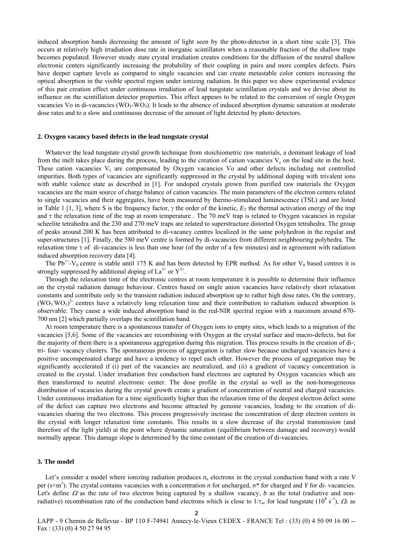induced absorption bands decreasing the amount of light seen by the photo-detector in a short time scale [3]. This occurs at relatively high irradiation dose rate in inorganic scintillators when a reasonable fraction of the shallow traps becomes populated. However steady state crystal irradiation creates conditions for the diffusion of the neutral shallow electronic centers significantly increasing the probability of their coupling in pairs and more complex defects. Pairs have deeper capture levels as compared to single vacancies and can create metastable color centers increasing the optical absorption in the visible spectral region under ionizing radiation. In this paper we show experimental evidence of this pair creation effect under continuous irradiation of lead tungstate scintillation crystals and we devise about its influence on the scintillation detector properties. This effect appears to be related to the conversion of single Oxygen vacancies Vo in di-vacancies (WO<sub>3</sub>-WO<sub>3</sub>). It leads to the absence of induced absorption dynamic saturation at moderate dose rates and to a slow and continuous decrease of the amount of light detected by photo detectors.

#### **2. Oxygen vacancy based defects in the lead tungstate crystal**

Whatever the lead tungstate crystal growth technique from stoichiometric raw materials, a dominant leakage of lead from the melt takes place during the process, leading to the creation of cation vacancies  $V_c$  on the lead site in the host. These cation vacancies V<sub>c</sub> are compensated by Oxygen vacancies Vo and other defects including not controlled impurities. Both types of vacancies are significantly suppressed in the crystal by additional doping with trivalent ions with stable valence state as described in [1]. For undoped crystals grown from purified raw materials the Oxygen vacancies are the main source of charge balance of cation vacancies. The main parameters of the electron centers related to single vacancies and their aggregates, have been measured by thermo-stimulated luminescence (TSL) and are listed in Table 1 [1, 3], where S is the frequency factor,  $\gamma$  the order of the kinetic,  $E_T$  the thermal activation energy of the trap and  $\tau$  the relaxation time of the trap at room temperature. The 70 meV trap is related to Oxygen vacancies in regular scheelite tetrahedra and the 230 and 270 meV traps are related to superstructure distorted Oxygen tetrahedra. The group of peaks around 200 K has been attributed to di-vacancy centres localized in the same polyhedron in the regular and super-structures [1]. Finally, the 580 meV centre is formed by di-vacancies from different neighbouring polyhedra. The relaxation time  $\tau$  of di-vacancies is less than one hour (of the order of a few minutes) and in agreement with radiation induced absorption recovery data [4].

The Pb<sup>1+</sup>-V<sub>0</sub> centre is stable until 175 K and has been detected by EPR method. As for other V<sub>0</sub> based centres it is strongly suppressed by additional doping of  $La^{3+}$  or  $Y^{3+}$ .

Through the relaxation time of the electronic centres at room temperature it is possible to determine their influence on the crystal radiation damage behaviour. Centres based on single anion vacancies have relatively short relaxation constants and contribute only to the transient radiation induced absorption up to rather high dose rates. On the contrary,  $(WO_3 WO_3)^2$  centres have a relatively long relaxation time and their contribution to radiation induced absorption is observable. They cause a wide induced absorption band in the red-NIR spectral region with a maximum around 670- 700 nm [2] which partially overlaps the scintillation band.

At room temperature there is a spontaneous transfer of Oxygen ions to empty sites, which leads to a migration of the vacancies [5,6]. Some of the vacancies are recombining with Oxygen at the crystal surface and macro-defects, but for the majority of them there is a spontaneous aggregation during this migration. This process results in the creation of di-; tri- four- vacancy clusters. The spontaneous process of aggregation is rather slow because uncharged vacancies have a positive uncompensated charge and have a tendency to repel each other. However the process of aggregation may be significantly accelerated if (i) part of the vacancies are neutralized, and (ii) a gradient of vacancy concentration is created in the crystal. Under irradiation free conduction band electrons are captured by Oxygen vacancies which are then transformed to neutral electronic center. The dose profile in the crystal as well as the non-homogeneous distribution of vacancies during the crystal growth create a gradient of concentration of neutral and charged vacancies. Under continuous irradiation for a time significantly higher than the relaxation time of the deepest electron defect some of the defect can capture two electrons and become attracted by genuine vacancies, leading to the creation of divacancies sharing the two electrons. This process progressively increase the concentration of deep electron centers in the crystal with longer relaxation time constants. This results in a slow decrease of the crystal transmission (and therefore of the light yield) at the point where dynamic saturation (equilibrium between damage and recovery) would normally appear. This damage slope is determined by the time constant of the creation of di-vacancies.

### **3. The model**

Let's consider a model where ionizing radiation produces  $n_e$  electrons in the crystal conduction band with a rate *V* per (s×m<sup>3</sup>). The crystal contains vacancies with a concentration *n* for uncharged, *n*<sup>\*</sup> for charged and *Y* for di-vacancies. Let's define  $\Omega$  as the rate of two electron being captured by a shallow vacancy, *b* as the total (radiative and nonradiative) recombination rate of the conduction band electrons which is close to  $1/\tau_{sc}$  for lead tungstate ( $10^8$  s<sup>-1</sup>),  $\Omega_l$  as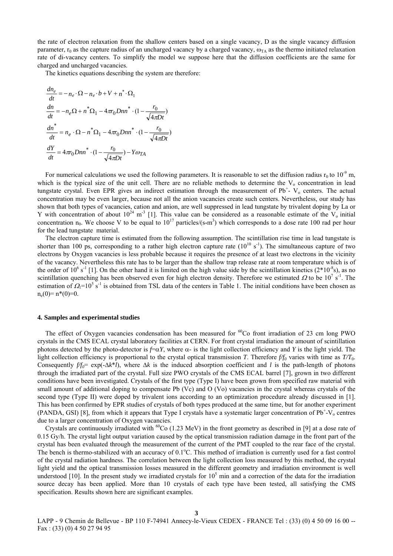the rate of electron relaxation from the shallow centers based on a single vacancy, D as the single vacancy diffusion parameter,  $r_0$  as the capture radius of an uncharged vacancy by a charged vacancy,  $\omega_{TA}$  as the thermo initiated relaxation rate of di-vacancy centers. To simplify the model we suppose here that the diffusion coefficients are the same for charged and uncharged vacancies.

The kinetics equations describing the system are therefore:

$$
\frac{dn_e}{dt} = -n_e \cdot \Omega - n_e \cdot b + V + n^* \cdot \Omega_1
$$
\n
$$
\frac{dn}{dt} = -n_e \Omega + n^* \Omega_1 - 4\pi r_0 Dnn^* \cdot (1 - \frac{r_0}{\sqrt{4\pi Dt}})
$$
\n
$$
\frac{dn^*}{dt} = n_e \cdot \Omega - n^* \Omega_1 - 4\pi r_0 Dnn^* \cdot (1 - \frac{r_0}{\sqrt{4\pi Dt}})
$$
\n
$$
\frac{dY}{dt} = 4\pi r_0 Dnn^* \cdot (1 - \frac{r_0}{\sqrt{4\pi Dt}}) - Y\omega_{TA}
$$

For numerical calculations we used the following parameters. It is reasonable to set the diffusion radius  $r_0$  to  $10^{-9}$  m, which is the typical size of the unit cell. There are no reliable methods to determine the  $V_0$  concentration in lead tungstate crystal. Even EPR gives an indirect estimation through the measurement of  $Pb^+$ - V<sub>o</sub> centers. The actual concentration may be even larger, because not all the anion vacancies create such centers. Nevertheless, our study has shown that both types of vacancies, cation and anion, are well suppressed in lead tungstate by trivalent doping by La or Y with concentration of about  $10^{24}$  m<sup>-3</sup> [1]. This value can be considered as a reasonable estimate of the V<sub>o</sub> initial concentration  $n_0$ . We choose V to be equal to  $10^{17}$  particles/(s\*m<sup>3</sup>) which corresponds to a dose rate 100 rad per hour for the lead tungstate material.

The electron capture time is estimated from the following assumption. The scintillation rise time in lead tungstate is shorter than 100 ps, corresponding to a rather high electron capture rate  $(10^{10} \text{ s}^{-1})$ . The simultaneous capture of two electrons by Oxygen vacancies is less probable because it requires the presence of at least two electrons in the vicinity of the vacancy. Nevertheless this rate has to be larger than the shallow trap release rate at room temperature which is of the order of  $10^6$  s<sup>-1</sup> [1]. On the other hand it is limited on the high value side by the scintillation kinetics ( $2*10<sup>-8</sup>$ s), as no scintillation quenching has been observed even for high electron density. Therefore we estimated  $\Omega$  to be  $10^7$  s<sup>-1</sup>. The estimation of  $\Omega_1 = 10^5$  s<sup>-1</sup> is obtained from TSL data of the centers in Table 1. The initial conditions have been chosen as  $n_e(0)=n*(0)=0$ .

#### **4. Samples and experimental studies**

The effect of Oxygen vacancies condensation has been measured for  ${}^{60}Co$  front irradiation of 23 cm long PWO crystals in the CMS ECAL crystal laboratory facilities at CERN. For front crystal irradiation the amount of scintillation photons detected by the photo-detector is  $f = \alpha Y$ , where  $\alpha$ - is the light collection efficiency and *Y* is the light yield. The light collection efficiency is proportional to the crystal optical transmission *T*. Therefore  $f/f_0$  varies with time as  $TT_0$ . Consequently  $f/f_0 = \exp(-\Delta k^*l)$ , where  $\Delta k$  is the induced absorption coefficient and *l* is the path-length of photons through the irradiated part of the crystal. Full size PWO crystals of the CMS ECAL barrel [7], grown in two different conditions have been investigated. Crystals of the first type (Type I) have been grown from specified raw material with small amount of additional doping to compensate Pb (Vc) and O (Vo) vacancies in the crystal whereas crystals of the second type (Type II) were doped by trivalent ions according to an optimization procedure already discussed in [1]. This has been confirmed by EPR studies of crystals of both types produced at the same time, but for another experiment (PANDA, GSI) [8], from which it appears that Type I crystals have a systematic larger concentration of  $Pb^+$ - $V_0$  centres due to a larger concentration of Oxygen vacancies.

Crystals are continuously irradiated with  ${}^{60}Co$  (1.23 MeV) in the front geometry as described in [9] at a dose rate of 0.15 Gy/h. The crystal light output variation caused by the optical transmission radiation damage in the front part of the crystal has been evaluated through the measurement of the current of the PMT coupled to the rear face of the crystal. The bench is thermo-stabilized with an accuracy of 0.1°C. This method of irradiation is currently used for a fast control of the crystal radiation hardness. The correlation between the light collection loss measured by this method, the crystal light yield and the optical transmission losses measured in the different geometry and irradiation environment is well understood [10]. In the present study we irradiated crystals for  $10<sup>5</sup>$  min and a correction of the data for the irradiation source decay has been applied. More than 10 crystals of each type have been tested, all satisfying the CMS specification. Results shown here are significant examples.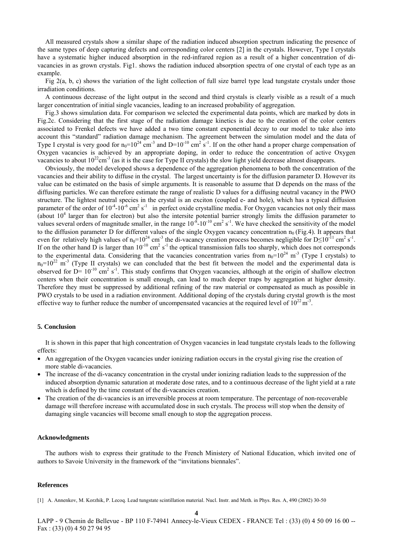All measured crystals show a similar shape of the radiation induced absorption spectrum indicating the presence of the same types of deep capturing defects and corresponding color centers [2] in the crystals. However, Type I crystals have a systematic higher induced absorption in the red-infrared region as a result of a higher concentration of divacancies in as grown crystals. Fig1. shows the radiation induced absorption spectra of one crystal of each type as an example.

Fig  $2(a, b, c)$  shows the variation of the light collection of full size barrel type lead tungstate crystals under those irradiation conditions.

A continuous decrease of the light output in the second and third crystals is clearly visible as a result of a much larger concentration of initial single vacancies, leading to an increased probability of aggregation.

Fig.3 shows simulation data. For comparison we selected the experimental data points, which are marked by dots in Fig.2c. Considering that the first stage of the radiation damage kinetics is due to the creation of the color centers associated to Frenkel defects we have added a two time constant exponential decay to our model to take also into account this "standard" radiation damage mechanism. The agreement between the simulation model and the data of Type I crystal is very good for  $n_0=10^{24}$  cm<sup>-3</sup> and D=10<sup>-10</sup> cm<sup>2</sup> s<sup>-1</sup>. If on the other hand a proper charge compensation of Oxygen vacancies is achieved by an appropriate doping, in order to reduce the concentration of active Oxygen vacancies to about  $10^{22}$ cm<sup>-3</sup> (as it is the case for Type II crystals) the slow light yield decrease almost disappears.

Obviously, the model developed shows a dependence of the aggregation phenomena to both the concentration of the vacancies and their ability to diffuse in the crystal. The largest uncertainty is for the diffusion parameter D. However its value can be estimated on the basis of simple arguments. It is reasonable to assume that D depends on the mass of the diffusing particles. We can therefore estimate the range of realistic D values for a diffusing neutral vacancy in the PWO structure. The lightest neutral species in the crystal is an exciton (coupled e- and hole), which has a typical diffusion parameter of the order of  $10^{-4}$ - $10^{-6}$  cm<sup>2</sup> s<sup>-1</sup> in perfect oxide crystalline media. For Oxygen vacancies not only their mass (about  $10<sup>4</sup>$  larger than for electron) but also the intersite potential barrier strongly limits the diffusion parameter to values several orders of magnitude smaller, in the range  $10^{-8}$ - $10^{-10}$  cm<sup>2</sup> s<sup>-1</sup>. We have checked the sensitivity of the model to the diffusion parameter D for different values of the single Oxygen vacancy concentration  $n_0$  (Fig.4). It appears that even for relatively high values of  $n_0=10^{24}$  cm<sup>-3</sup> the di-vacancy creation process becomes negligible for D $\leq 10^{-11}$  cm<sup>2</sup> s<sup>-1</sup>. If on the other hand D is larger than  $10^{-10}$  cm<sup>2</sup> s<sup>-1</sup> the optical transmission falls too sharply, which does not corresponds to the experimental data. Considering that the vacancies concentration varies from  $n_0=10^{24}$  m<sup>-3</sup> (Type I crystals) to  $n_0=10^{22}$  m<sup>-3</sup> (Type II crystals) we can concluded that the best fit between the model and the experimental data is observed for  $D=10^{-10}$  cm<sup>2</sup> s<sup>-1</sup>. This study confirms that Oxygen vacancies, although at the origin of shallow electron centers when their concentration is small enough, can lead to much deeper traps by aggregation at higher density. Therefore they must be suppressed by additional refining of the raw material or compensated as much as possible in PWO crystals to be used in a radiation environment. Additional doping of the crystals during crystal growth is the most effective way to further reduce the number of uncompensated vacancies at the required level of  $10^{22}$  m<sup>-3</sup>.

### **5. Conclusion**

It is shown in this paper that high concentration of Oxygen vacancies in lead tungstate crystals leads to the following effects:

- An aggregation of the Oxygen vacancies under ionizing radiation occurs in the crystal giving rise the creation of more stable di-vacancies.
- The increase of the di-vacancy concentration in the crystal under ionizing radiation leads to the suppression of the induced absorption dynamic saturation at moderate dose rates, and to a continuous decrease of the light yield at a rate which is defined by the time constant of the di-vacancies creation.
- The creation of the di-vacancies is an irreversible process at room temperature. The percentage of non-recoverable damage will therefore increase with accumulated dose in such crystals. The process will stop when the density of damaging single vacancies will become small enough to stop the aggregation process.

#### **Acknowledgments**

The authors wish to express their gratitude to the French Ministery of National Education, which invited one of authors to Savoie University in the framework of the "invitations biennales".

#### **References**

**4** 

<sup>[1]</sup> A. Annenkov, M. Korzhik, P. Lecoq. Lead tungstate scintillation material. Nucl. Instr. and Meth. in Phys. Res. A, 490 (2002) 30-50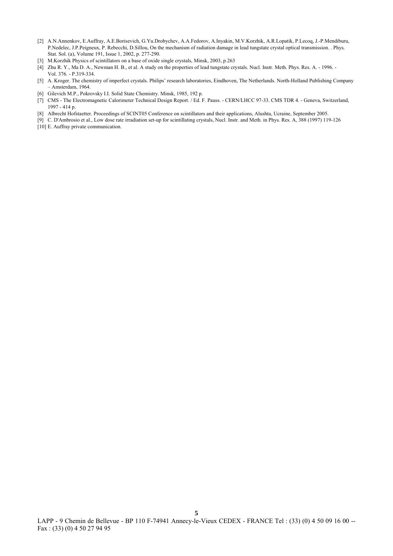- [2] A.N.Annenkov, E.Auffray, A.E.Borisevich, G.Yu.Drobychev, A.A.Fedorov, A.Inyakin, M.V.Korzhik, A.R.Lopatik, P.Lecoq, J.-P.Mendiburu, P.Nedelec, J.P.Peigneux, P. Rebecchi, D.Sillou, On the mechanism of radiation damage in lead tungstate crystal optical transmission. . Phys. Stat. Sol. (a), Volume 191, Issue 1, 2002, p. 277-290.
- [3] M.Korzhik Physics of scintillators on a base of oxide single crystals, Minsk, 2003, p.263
- [4] Zhu R. Y., Ma D. A., Newman H. B., et al. A study on the properties of lead tungstate crystals. Nucl. Instr. Meth. Phys. Res. A. 1996. Vol. 376. - P.319-334.
- [5] A. Kroger. The chemistry of imperfect crystals. Philips' research laboratories, Eindhoven, The Netherlands. North-Holland Publishing Company – Amsterdam, 1964.
- [6] Gilevich M.P., Pokrovsky I.I. Solid State Chemistry. Minsk, 1985, 192 p.
- [7] CMS The Electromagnetic Calorimeter Technical Design Report. / Ed. F. Pauss. CERN/LHCC 97-33. CMS TDR 4. Geneva, Switzerland, 1997 - 414 p.
- [8] Albrecht Hofstaetter. Proceedings of SCINT05 Conference on scintillators and their applications, Alushta, Ucraine, September 2005.
- [9] C. D'Ambrosio et al., Low dose rate irradiation set-up for scintillating crystals, Nucl. Instr. and Meth. in Phys. Res. A, 388 (1997) 119-126 [10] E. Auffray private communication.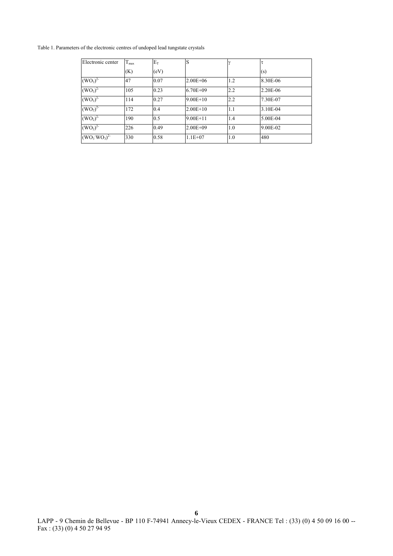Table 1. Parameters of the electronic centres of undoped lead tungstate crystals

| Electronic center | $T_{\text{max}}$ | $E_T$ | S            | $\gamma$ | τ        |
|-------------------|------------------|-------|--------------|----------|----------|
|                   | (K)              | (eV)  |              |          | (s)      |
| $(WO_3)^{2}$      | 47               | 0.07  | $2.00E + 06$ | 1.2      | 8.30E-06 |
| $(WO_3)^{2-}$     | 105              | 0.23  | $6.70E + 09$ | 2.2      | 2.20E-06 |
| $(WO_3)^{2-}$     | 114              | 0.27  | $9.00E + 10$ | 2.2      | 7.30E-07 |
| $(WO_2)^{2^{-}}$  | 172              | 0.4   | $2.00E+10$   | 1.1      | 3.10E-04 |
| $(WO_2)^{2-}$     | 190              | 0.5   | $9.00E + 11$ | 1.4      | 5.00E-04 |
| $(WO_2)^{2-}$     | 226              | 0.49  | $2.00E + 09$ | 1.0      | 9.00E-02 |
| $(WO_3 WO_3)^{2}$ | 330              | 0.58  | $1.1E + 07$  | 1.0      | 480      |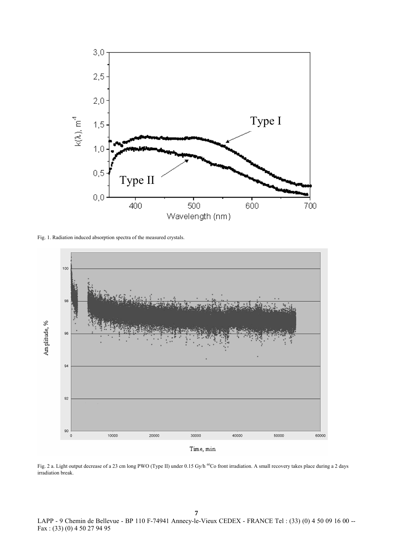

Fig. 1. Radiation induced absorption spectra of the measured crystals.



Fig. 2 a. Light output decrease of a 23 cm long PWO (Type II) under 0.15 Gy/h <sup>60</sup>Co front irradiation. A small recovery takes place during a 2 days irradiation break.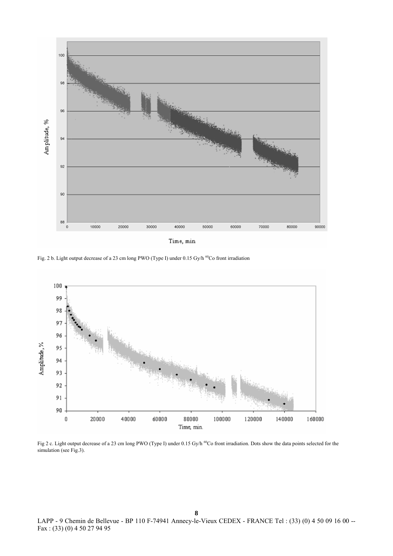

Fig. 2 b. Light output decrease of a 23 cm long PWO (Type I) under 0.15 Gy/h <sup>60</sup>Co front irradiation



Fig 2 c. Light output decrease of a 23 cm long PWO (Type I) under 0.15 Gy/h <sup>60</sup>Co front irradiation. Dots show the data points selected for the simulation (see Fig.3).